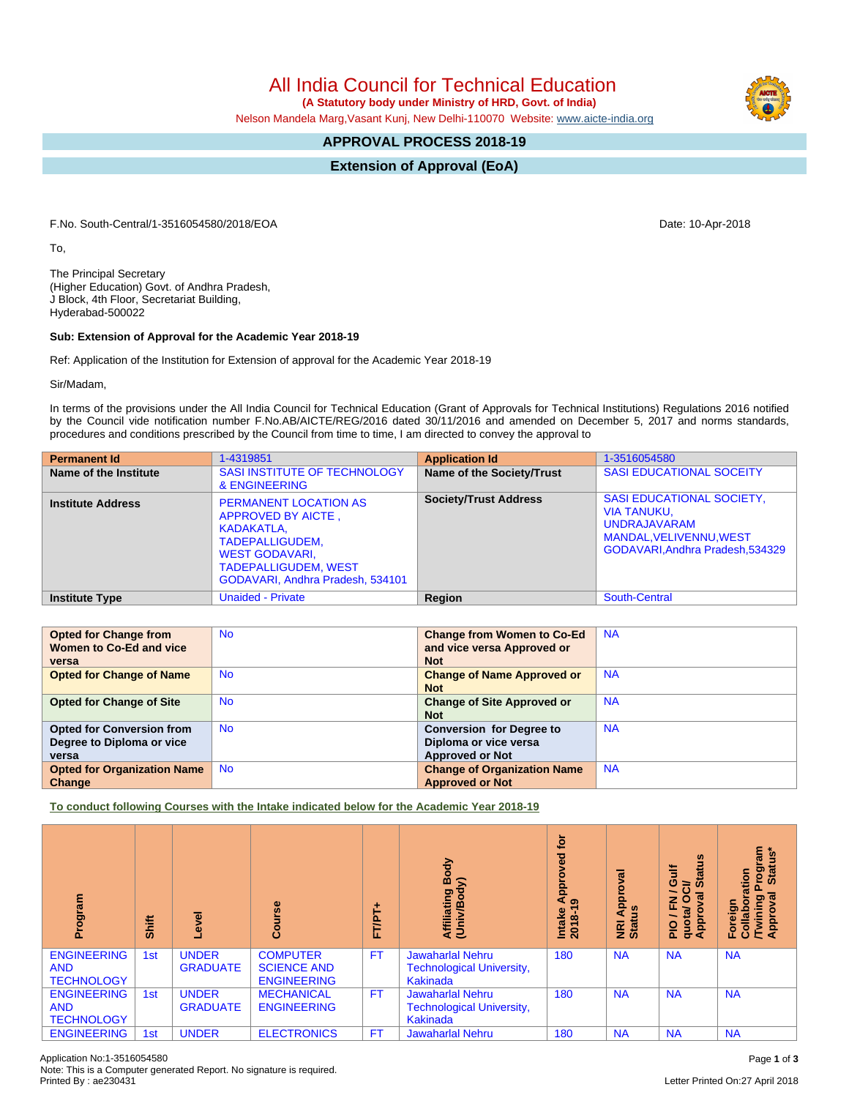## All India Council for Technical Education

 **(A Statutory body under Ministry of HRD, Govt. of India)**

Nelson Mandela Marg,Vasant Kunj, New Delhi-110070 Website: [www.aicte-india.org](http://www.aicte-india.org)

## **APPROVAL PROCESS 2018-19**

**Extension of Approval (EoA)**

F.No. South-Central/1-3516054580/2018/EOA Date: 10-Apr-2018

To,

The Principal Secretary (Higher Education) Govt. of Andhra Pradesh, J Block, 4th Floor, Secretariat Building, Hyderabad-500022

## **Sub: Extension of Approval for the Academic Year 2018-19**

Ref: Application of the Institution for Extension of approval for the Academic Year 2018-19

Sir/Madam,

In terms of the provisions under the All India Council for Technical Education (Grant of Approvals for Technical Institutions) Regulations 2016 notified by the Council vide notification number F.No.AB/AICTE/REG/2016 dated 30/11/2016 and amended on December 5, 2017 and norms standards, procedures and conditions prescribed by the Council from time to time, I am directed to convey the approval to

| <b>Permanent Id</b>      | 1-4319851                                                                                                                                                                       | <b>Application Id</b>        | 1-3516054580                                                                                                                          |
|--------------------------|---------------------------------------------------------------------------------------------------------------------------------------------------------------------------------|------------------------------|---------------------------------------------------------------------------------------------------------------------------------------|
| Name of the Institute    | SASI INSTITUTE OF TECHNOLOGY<br>& ENGINEERING                                                                                                                                   | Name of the Society/Trust    | <b>SASI EDUCATIONAL SOCEITY</b>                                                                                                       |
| <b>Institute Address</b> | <b>PERMANENT LOCATION AS</b><br>APPROVED BY AICTE,<br>KADAKATLA,<br>TADEPALLIGUDEM.<br><b>WEST GODAVARI,</b><br><b>TADEPALLIGUDEM, WEST</b><br>GODAVARI, Andhra Pradesh, 534101 | <b>Society/Trust Address</b> | <b>SASI EDUCATIONAL SOCIETY,</b><br>VIA TANUKU,<br><b>UNDRAJAVARAM</b><br>MANDAL, VELIVENNU, WEST<br>GODAVARI, Andhra Pradesh, 534329 |
| <b>Institute Type</b>    | <b>Unaided - Private</b>                                                                                                                                                        | Region                       | South-Central                                                                                                                         |

| <b>Opted for Change from</b>       | <b>No</b> | <b>Change from Women to Co-Ed</b>  | <b>NA</b> |
|------------------------------------|-----------|------------------------------------|-----------|
| Women to Co-Ed and vice            |           | and vice versa Approved or         |           |
| versa                              |           | <b>Not</b>                         |           |
| <b>Opted for Change of Name</b>    | <b>No</b> | <b>Change of Name Approved or</b>  | <b>NA</b> |
|                                    |           | <b>Not</b>                         |           |
| <b>Opted for Change of Site</b>    | <b>No</b> | <b>Change of Site Approved or</b>  | <b>NA</b> |
|                                    |           | <b>Not</b>                         |           |
| <b>Opted for Conversion from</b>   | <b>No</b> | <b>Conversion for Degree to</b>    | <b>NA</b> |
| Degree to Diploma or vice          |           | Diploma or vice versa              |           |
| versa                              |           | <b>Approved or Not</b>             |           |
| <b>Opted for Organization Name</b> | <b>No</b> | <b>Change of Organization Name</b> | <b>NA</b> |
| Change                             |           | <b>Approved or Not</b>             |           |

**To conduct following Courses with the Intake indicated below for the Academic Year 2018-19**

| Program                                               | Shift           | g<br>ڡؖ                         | 8<br>Õ                                                      | FT/PT+    | Body<br>$\mathbf{\Sigma}$<br>Affiliating<br>(Univ/Bod <sup>)</sup>      | ğ<br>ᄝ<br>ō<br>$\frac{1}{4}$<br>Intake<br>2018-1 | ಸ<br>윤<br><b>NRI Ap<br/>Status</b> | <b>Status</b><br><b>Gulf</b><br>∍<br>O<br>$\overline{\mathfrak{a}}$<br>O<br>z<br>Œ<br>quotal<br><b>Appro</b><br>$\frac{1}{2}$ | rogram<br>Status*<br>oration<br>ᢛ<br>Foreign<br>Collabora<br>/Twining<br>Approval |
|-------------------------------------------------------|-----------------|---------------------------------|-------------------------------------------------------------|-----------|-------------------------------------------------------------------------|--------------------------------------------------|------------------------------------|-------------------------------------------------------------------------------------------------------------------------------|-----------------------------------------------------------------------------------|
| <b>ENGINEERING</b><br><b>AND</b><br><b>TECHNOLOGY</b> | 1 <sub>st</sub> | <b>UNDER</b><br><b>GRADUATE</b> | <b>COMPUTER</b><br><b>SCIENCE AND</b><br><b>ENGINEERING</b> | <b>FT</b> | <b>Jawaharlal Nehru</b><br><b>Technological University,</b><br>Kakinada | 180                                              | <b>NA</b>                          | <b>NA</b>                                                                                                                     | <b>NA</b>                                                                         |
| <b>ENGINEERING</b><br><b>AND</b><br><b>TECHNOLOGY</b> | 1 <sub>st</sub> | <b>UNDER</b><br><b>GRADUATE</b> | <b>MECHANICAL</b><br><b>ENGINEERING</b>                     | <b>FT</b> | <b>Jawaharlal Nehru</b><br><b>Technological University,</b><br>Kakinada | 180                                              | <b>NA</b>                          | <b>NA</b>                                                                                                                     | <b>NA</b>                                                                         |
| <b>ENGINEERING</b>                                    | 1st             | <b>UNDER</b>                    | <b>ELECTRONICS</b>                                          | <b>FT</b> | <b>Jawaharlal Nehru</b>                                                 | 180                                              | <b>NA</b>                          | <b>NA</b>                                                                                                                     | <b>NA</b>                                                                         |

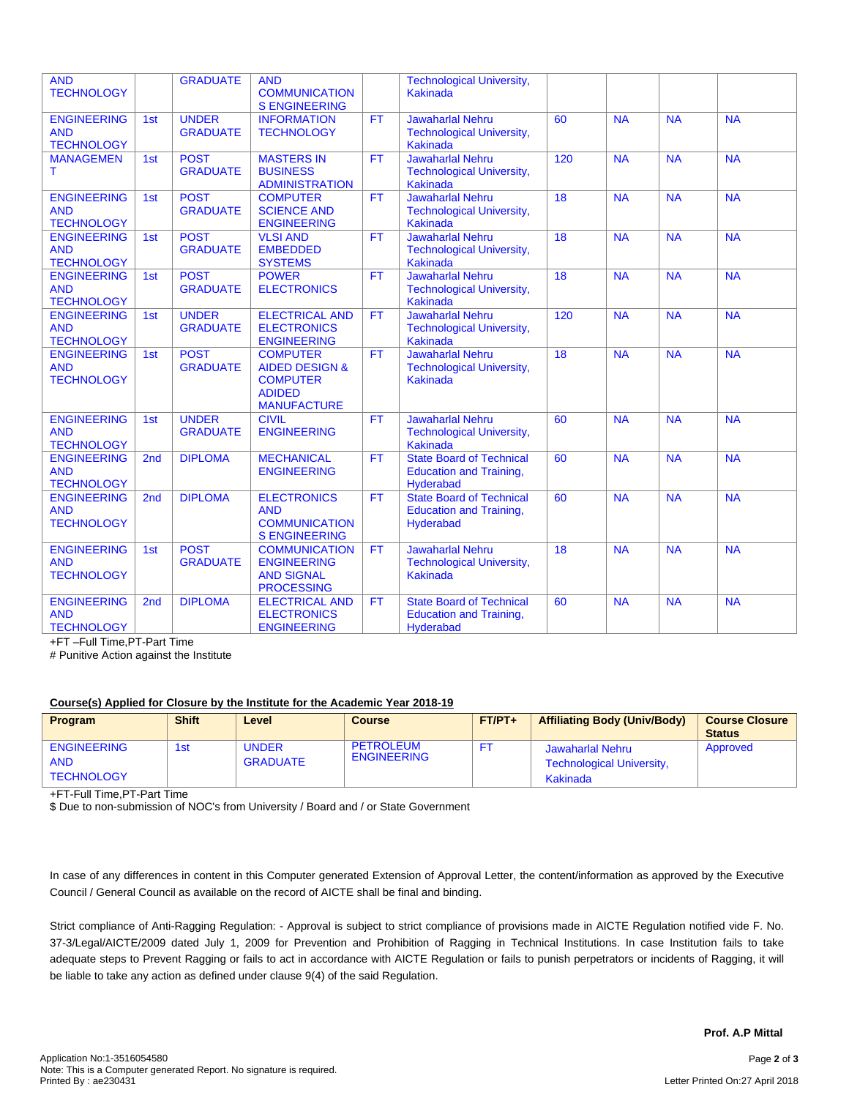| <b>AND</b><br><b>TECHNOLOGY</b>                       |                 | <b>GRADUATE</b>                 | <b>AND</b><br><b>COMMUNICATION</b><br><b>S ENGINEERING</b>                                             |           | <b>Technological University,</b><br>Kakinada                                          |                 |           |           |           |
|-------------------------------------------------------|-----------------|---------------------------------|--------------------------------------------------------------------------------------------------------|-----------|---------------------------------------------------------------------------------------|-----------------|-----------|-----------|-----------|
| <b>ENGINEERING</b><br><b>AND</b><br><b>TECHNOLOGY</b> | 1st             | <b>UNDER</b><br><b>GRADUATE</b> | <b>INFORMATION</b><br><b>TECHNOLOGY</b>                                                                | FT        | <b>Jawaharlal Nehru</b><br><b>Technological University,</b><br><b>Kakinada</b>        | 60              | <b>NA</b> | <b>NA</b> | <b>NA</b> |
| <b>MANAGEMEN</b><br>T.                                | 1st             | <b>POST</b><br><b>GRADUATE</b>  | <b>MASTERS IN</b><br><b>BUSINESS</b><br><b>ADMINISTRATION</b>                                          | <b>FT</b> | <b>Jawaharlal Nehru</b><br><b>Technological University,</b><br><b>Kakinada</b>        | 120             | NA        | <b>NA</b> | <b>NA</b> |
| <b>ENGINEERING</b><br><b>AND</b><br><b>TECHNOLOGY</b> | 1st             | <b>POST</b><br><b>GRADUATE</b>  | <b>COMPUTER</b><br><b>SCIENCE AND</b><br><b>ENGINEERING</b>                                            | <b>FT</b> | <b>Jawaharlal Nehru</b><br><b>Technological University,</b><br><b>Kakinada</b>        | 18<br>18        | <b>NA</b> | <b>NA</b> | <b>NA</b> |
| <b>ENGINEERING</b><br><b>AND</b><br><b>TECHNOLOGY</b> | 1st             | <b>POST</b><br><b>GRADUATE</b>  | <b>VLSI AND</b><br><b>EMBEDDED</b><br><b>SYSTEMS</b>                                                   | <b>FT</b> | <b>Jawaharlal Nehru</b><br><b>Technological University,</b><br><b>Kakinada</b>        |                 | <b>NA</b> | <b>NA</b> | <b>NA</b> |
| <b>ENGINEERING</b><br><b>AND</b><br><b>TECHNOLOGY</b> | 1st             | <b>POST</b><br><b>GRADUATE</b>  | <b>POWER</b><br><b>ELECTRONICS</b>                                                                     | <b>FT</b> | <b>Jawaharlal Nehru</b><br><b>Technological University,</b><br>Kakinada               | 18              | <b>NA</b> | <b>NA</b> | <b>NA</b> |
| <b>ENGINEERING</b><br><b>AND</b><br><b>TECHNOLOGY</b> | 1st             | <b>UNDER</b><br><b>GRADUATE</b> | <b>ELECTRICAL AND</b><br><b>ELECTRONICS</b><br><b>ENGINEERING</b>                                      | <b>FT</b> | <b>Jawaharlal Nehru</b><br><b>Technological University,</b><br><b>Kakinada</b>        | 120             | <b>NA</b> | <b>NA</b> | <b>NA</b> |
| <b>ENGINEERING</b><br><b>AND</b><br><b>TECHNOLOGY</b> | 1st             | <b>POST</b><br><b>GRADUATE</b>  | <b>COMPUTER</b><br><b>AIDED DESIGN &amp;</b><br><b>COMPUTER</b><br><b>ADIDED</b><br><b>MANUFACTURE</b> | FT        | <b>Jawaharlal Nehru</b><br><b>Technological University,</b><br><b>Kakinada</b>        | $\overline{18}$ | NA        | <b>NA</b> | <b>NA</b> |
| <b>ENGINEERING</b><br><b>AND</b><br><b>TECHNOLOGY</b> | 1st             | <b>UNDER</b><br><b>GRADUATE</b> | <b>CIVIL</b><br><b>ENGINEERING</b>                                                                     | <b>FT</b> | <b>Jawaharlal Nehru</b><br><b>Technological University,</b><br><b>Kakinada</b>        | 60              | <b>NA</b> | <b>NA</b> | <b>NA</b> |
| <b>ENGINEERING</b><br><b>AND</b><br><b>TECHNOLOGY</b> | 2 <sub>nd</sub> | <b>DIPLOMA</b>                  | <b>MECHANICAL</b><br><b>ENGINEERING</b>                                                                | FT        | <b>State Board of Technical</b><br><b>Education and Training,</b><br>Hyderabad        | 60              | <b>NA</b> | <b>NA</b> | <b>NA</b> |
| <b>ENGINEERING</b><br><b>AND</b><br><b>TECHNOLOGY</b> | 2 <sub>nd</sub> | <b>DIPLOMA</b>                  | <b>ELECTRONICS</b><br><b>AND</b><br><b>COMMUNICATION</b><br><b>S ENGINEERING</b>                       | <b>FT</b> | <b>State Board of Technical</b><br><b>Education and Training,</b><br><b>Hyderabad</b> | 60              | <b>NA</b> | <b>NA</b> | <b>NA</b> |
| <b>ENGINEERING</b><br><b>AND</b><br><b>TECHNOLOGY</b> | 1st             | <b>POST</b><br><b>GRADUATE</b>  | <b>COMMUNICATION</b><br><b>ENGINEERING</b><br><b>AND SIGNAL</b><br><b>PROCESSING</b>                   | <b>FT</b> | <b>Jawaharlal Nehru</b><br><b>Technological University,</b><br><b>Kakinada</b>        | 18              | <b>NA</b> | <b>NA</b> | <b>NA</b> |
| <b>ENGINEERING</b><br><b>AND</b><br><b>TECHNOLOGY</b> | 2 <sub>nd</sub> | <b>DIPLOMA</b>                  | <b>ELECTRICAL AND</b><br><b>ELECTRONICS</b><br><b>ENGINEERING</b>                                      | <b>FT</b> | <b>State Board of Technical</b><br><b>Education and Training,</b><br>Hyderabad        | 60              | <b>NA</b> | <b>NA</b> | <b>NA</b> |

+FT –Full Time,PT-Part Time

# Punitive Action against the Institute

## **Course(s) Applied for Closure by the Institute for the Academic Year 2018-19**

| Program                                               | <b>Shift</b> | Level                           | Course                                 | $FT/PT+$ | <b>Affiliating Body (Univ/Body)</b>                              | <b>Course Closure</b><br><b>Status</b> |
|-------------------------------------------------------|--------------|---------------------------------|----------------------------------------|----------|------------------------------------------------------------------|----------------------------------------|
| <b>ENGINEERING</b><br><b>AND</b><br><b>TECHNOLOGY</b> | 1st          | <b>UNDER</b><br><b>GRADUATE</b> | <b>PETROLEUM</b><br><b>ENGINEERING</b> |          | Jawaharlal Nehru<br><b>Technological University,</b><br>Kakinada | Approved                               |

+FT-Full Time,PT-Part Time

\$ Due to non-submission of NOC's from University / Board and / or State Government

In case of any differences in content in this Computer generated Extension of Approval Letter, the content/information as approved by the Executive Council / General Council as available on the record of AICTE shall be final and binding.

Strict compliance of Anti-Ragging Regulation: - Approval is subject to strict compliance of provisions made in AICTE Regulation notified vide F. No. 37-3/Legal/AICTE/2009 dated July 1, 2009 for Prevention and Prohibition of Ragging in Technical Institutions. In case Institution fails to take adequate steps to Prevent Ragging or fails to act in accordance with AICTE Regulation or fails to punish perpetrators or incidents of Ragging, it will be liable to take any action as defined under clause 9(4) of the said Regulation.